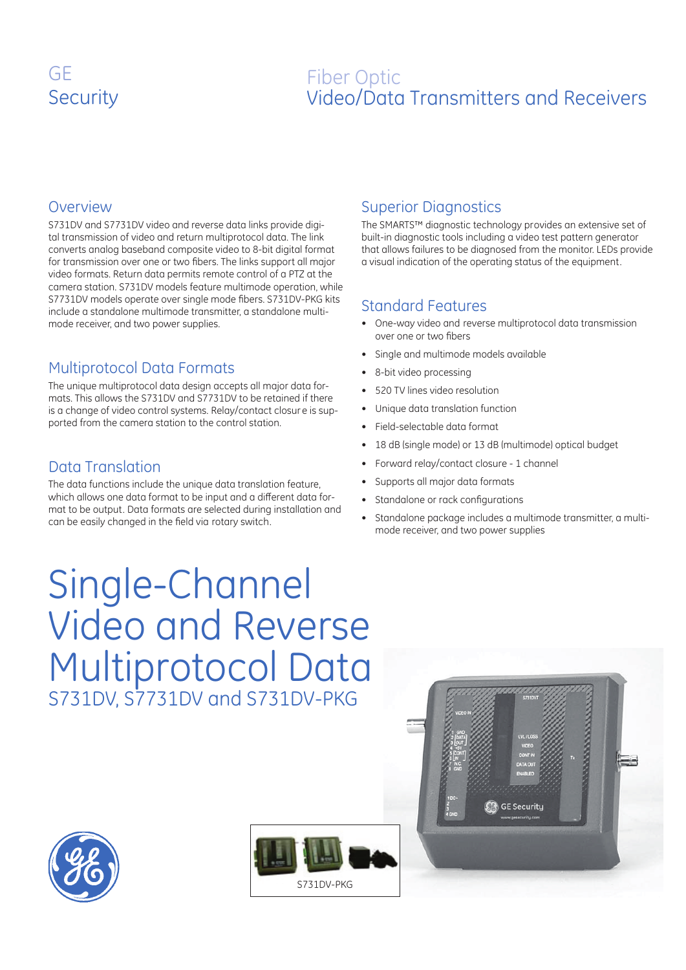# GE **Security**

## Fiber Optic Video/Data Transmitters and Receivers

#### **Overview**

S731DV and S7731DV video and reverse data links provide digital transmission of video and return multiprotocol data. The link converts analog baseband composite video to 8-bit digital format for transmission over one or two fibers. The links support all major video formats. Return data permits remote control of a PTZ at the camera station. S731DV models feature multimode operation, while S7731DV models operate over single mode fibers. S731DV-PKG kits include a standalone multimode transmitter, a standalone multimode receiver, and two power supplies.

## Multiprotocol Data Formats

The unique multiprotocol data design accepts all major data formats. This allows the S731DV and S7731DV to be retained if there is a change of video control systems. Relay/contact closur e is supported from the camera station to the control station.

## Data Translation

The data functions include the unique data translation feature, which allows one data format to be input and a different data format to be output. Data formats are selected during installation and can be easily changed in the field via rotary switch.

## Superior Diagnostics

The SMARTS™ diagnostic technology provides an extensive set of built-in diagnostic tools including a video test pattern generator that allows failures to be diagnosed from the monitor. LEDs provide a visual indication of the operating status of the equipment.

## Standard Features

- One-way video and reverse multiprotocol data transmission over one or two fibers •
- Single and multimode models available •
- 8-bit video processing •
- 520 TV lines video resolution •
- Unique data translation function •
- Field-selectable data format •
- 18 dB (single mode) or 13 dB (multimode) optical budget •
- Forward relay/contact closure 1 channel •
- Supports all major data formats •
- Standalone or rack configurations •
- Standalone package includes a multimode transmitter, a multimode receiver, and two power supplies •

Single-Channel Video and Reverse Multiprotocol Data S731DV, S7731DV and S731DV-PKG